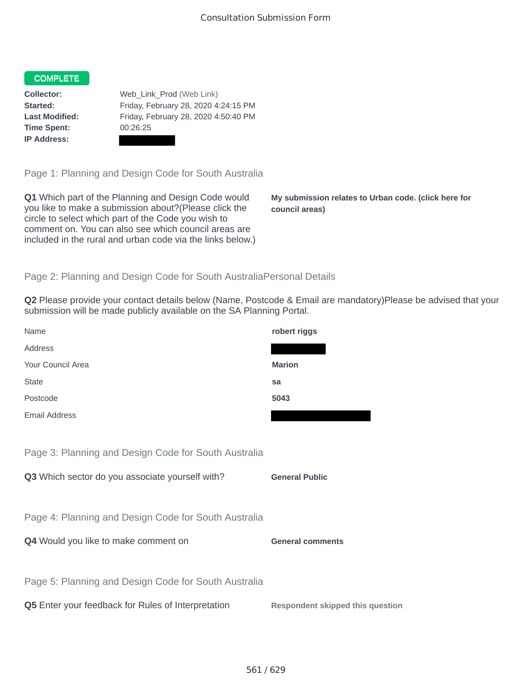### COMPLETE

**Time Spent:** 00:26:25 **IP Address:**

**Collector:** Web\_Link\_Prod (Web Link) **Started:** Friday, February 28, 2020 4:24:15 PM **Last Modified:** Friday, February 28, 2020 4:50:40 PM

Page 1: Planning and Design Code for South Australia

**Q1** Which part of the Planning and Design Code would you like to make a submission about?(Please click the circle to select which part of the Code you wish to comment on. You can also see which council areas are included in the rural and urban code via the links below.)

**My submission relates to Urban code. (click here for council areas)**

#### Page 2: Planning and Design Code for South AustraliaPersonal Details

**Q2** Please provide your contact details below (Name, Postcode & Email are mandatory)Please be advised that your submission will be made publicly available on the SA Planning Portal.

| Name                                                 | robert riggs                            |
|------------------------------------------------------|-----------------------------------------|
| Address                                              |                                         |
| Your Council Area                                    | <b>Marion</b>                           |
| <b>State</b>                                         | sa                                      |
| Postcode                                             | 5043                                    |
| <b>Email Address</b>                                 |                                         |
|                                                      |                                         |
| Page 3: Planning and Design Code for South Australia |                                         |
| Q3 Which sector do you associate yourself with?      | <b>General Public</b>                   |
|                                                      |                                         |
| Page 4: Planning and Design Code for South Australia |                                         |
| Q4 Would you like to make comment on                 | <b>General comments</b>                 |
|                                                      |                                         |
| Page 5: Planning and Design Code for South Australia |                                         |
| Q5 Enter your feedback for Rules of Interpretation   | <b>Respondent skipped this question</b> |
|                                                      |                                         |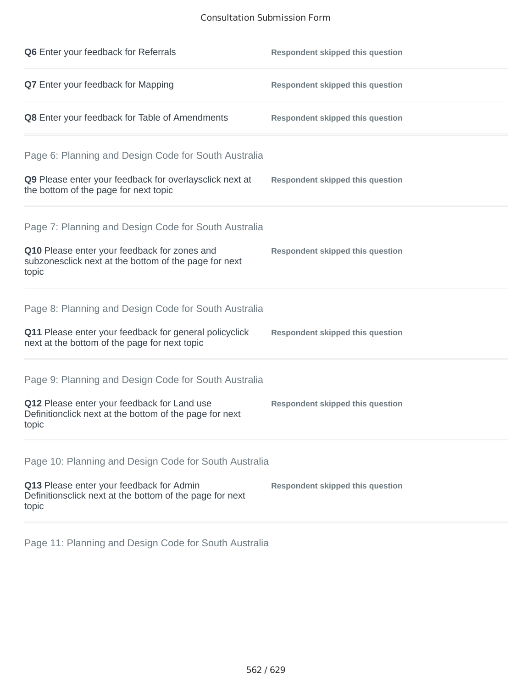## Consultation Submission Form

| Q6 Enter your feedback for Referrals                                                                            | <b>Respondent skipped this question</b> |
|-----------------------------------------------------------------------------------------------------------------|-----------------------------------------|
| Q7 Enter your feedback for Mapping                                                                              | <b>Respondent skipped this question</b> |
| Q8 Enter your feedback for Table of Amendments                                                                  | <b>Respondent skipped this question</b> |
| Page 6: Planning and Design Code for South Australia                                                            |                                         |
| Q9 Please enter your feedback for overlaysclick next at<br>the bottom of the page for next topic                | <b>Respondent skipped this question</b> |
| Page 7: Planning and Design Code for South Australia                                                            |                                         |
| Q10 Please enter your feedback for zones and<br>subzonesclick next at the bottom of the page for next<br>topic  | <b>Respondent skipped this question</b> |
| Page 8: Planning and Design Code for South Australia                                                            |                                         |
| Q11 Please enter your feedback for general policyclick<br>next at the bottom of the page for next topic         | <b>Respondent skipped this question</b> |
| Page 9: Planning and Design Code for South Australia                                                            |                                         |
| Q12 Please enter your feedback for Land use<br>Definitionclick next at the bottom of the page for next<br>topic | <b>Respondent skipped this question</b> |
| Page 10: Planning and Design Code for South Australia                                                           |                                         |
| Q13 Please enter your feedback for Admin<br>Definitionsclick next at the bottom of the page for next<br>topic   | <b>Respondent skipped this question</b> |

Page 11: Planning and Design Code for South Australia